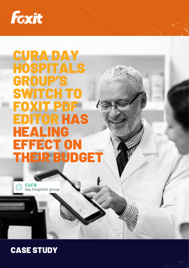

# CURA DAY HOSPITALS GROUP'S SWITCH TO FOXIT PDF EDITOR HAS HEALING EFFECT ON THEIR BUDGET



## CASE STUDY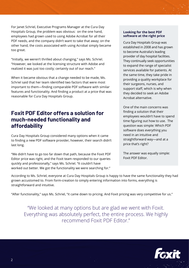For Janet Schriel, Executive Programs Manager at the Cura Day Hospitals Group, the problem was obvious: on the one hand, employees had grown used to using Adobe Acrobat for all their PDF needs, and the company didn't want to take that away; on the other hand, the costs associated with using Acrobat simply became too great.

"Initially, we weren't thrilled about changing," says Ms. Schriel. "However, we looked at the licensing structure with Adobe and realized it was just too costly; certainly out of our reach."

When it became obvious that a change needed to be made, Ms. Schriel said that her team identified two factors that were most important to them—finding comparable PDF software with similar features and functionality. And finding a product at a price that was reasonable for Cura Day Hospitals Group.

#### **Foxit PDF Editor offers a solution for much-needed functionality and affordability**

Cura Day Hospitals Group considered many options when it came to finding a new PDF software provider, however, their search didn't last long.

"We didn't have to go too far down that path, because the Foxit PDF Editor price was right, and the Foxit team responded to our queries quickly and professionally," says Ms. Schriel. "It couldn't have worked out better. We got the functionality we were searching for."

#### **Looking for the best PDF software at the right price**

Cura Day Hospitals Group was established in 2008 and has grown to become Australia's leading provider of day hospital facilities. They continually seek opportunities to expand the range of specialist services available for patients. At the same time, they take pride in providing a quality workplace for their surgeons, nurses, and support staff, which is why when they decided to seek an Adobe Acrobat alternative.

One of the main concerns was finding a solution that their employees wouldn't have to spend time figuring out how to use. The question was simple: Which PDF software does everything you need in an intuitive and straightforward way—and at a price that's right?

The answer was equally simple: Foxit PDF Editor.

According to Ms. Schriel, everyone at Cura Day Hospitals Group is happy to have the same functionality they had grown accustomed to. From form-creation to simply entering information into forms, everything is straightforward and intuitive.

"After functionality," says Ms. Schriel, "it came down to pricing. And Foxit pricing was very competitive for us."

"We looked at many options but are glad we went with Foxit. Everything was absolutely perfect, the entire process. We highly recommend Foxit PDF Editor."